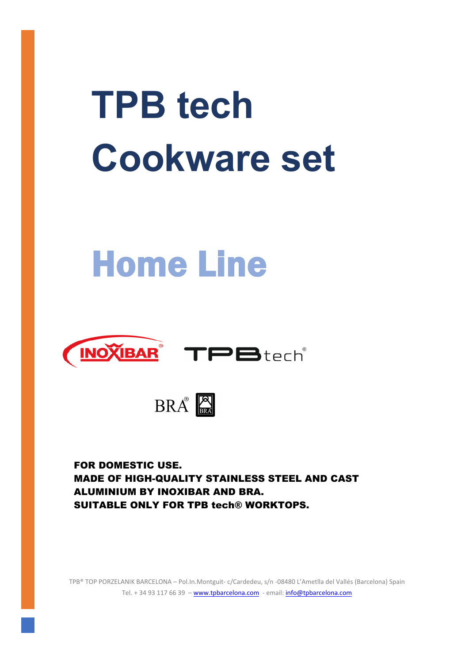# **TPB tech Cookware set**

## Home Line







FOR DOMESTIC USE. MADE OF HIGH-QUALITY STAINLESS STEEL AND CAST ALUMINIUM BY INOXIBAR AND BRA. SUITABLE ONLY FOR TPB tech® WORKTOPS.

TPB® TOP PORZELANIK BARCELONA – Pol.In.Montguit‐ c/Cardedeu, s/n ‐08480 L'Ametlla del Vallés (Barcelona) Spain Tel. + 34 93 117 66 39 - www.tpbarcelona.com - email: info@tpbarcelona.com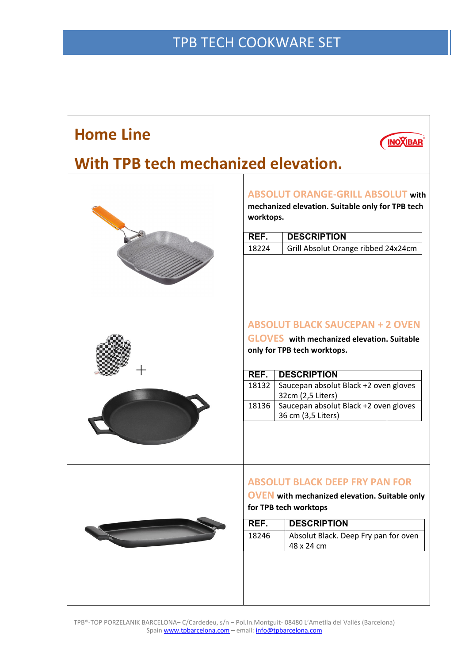### TPB TECH COOKWARE SET

| <b>Home Line</b>                    |                                                                                                           | <b>INOXIBAF</b>                                             |  |  |
|-------------------------------------|-----------------------------------------------------------------------------------------------------------|-------------------------------------------------------------|--|--|
| With TPB tech mechanized elevation. |                                                                                                           |                                                             |  |  |
|                                     | <b>ABSOLUT ORANGE-GRILL ABSOLUT with</b><br>mechanized elevation. Suitable only for TPB tech<br>worktops. |                                                             |  |  |
|                                     | REF.                                                                                                      | <b>DESCRIPTION</b>                                          |  |  |
|                                     | 18224                                                                                                     | Grill Absolut Orange ribbed 24x24cm                         |  |  |
|                                     |                                                                                                           |                                                             |  |  |
|                                     | <b>ABSOLUT BLACK SAUCEPAN + 2 OVEN</b>                                                                    |                                                             |  |  |
|                                     | <b>GLOVES</b> with mechanized elevation. Suitable                                                         |                                                             |  |  |
|                                     | only for TPB tech worktops.                                                                               |                                                             |  |  |
|                                     |                                                                                                           |                                                             |  |  |
|                                     | REF.                                                                                                      | <b>DESCRIPTION</b>                                          |  |  |
|                                     | 18132                                                                                                     | Saucepan absolut Black +2 oven gloves<br>32cm (2,5 Liters)  |  |  |
|                                     | 18136                                                                                                     | Saucepan absolut Black +2 oven gloves<br>36 cm (3,5 Liters) |  |  |
|                                     |                                                                                                           |                                                             |  |  |
|                                     | <b>ABSOLUT BLACK DEEP FRY PAN FOR</b>                                                                     |                                                             |  |  |
|                                     |                                                                                                           | <b>OVEN</b> with mechanized elevation. Suitable only        |  |  |
|                                     | for TPB tech worktops                                                                                     |                                                             |  |  |
|                                     | REF.                                                                                                      | <b>DESCRIPTION</b>                                          |  |  |
|                                     | 18246                                                                                                     | Absolut Black. Deep Fry pan for oven<br>48 x 24 cm          |  |  |
|                                     |                                                                                                           |                                                             |  |  |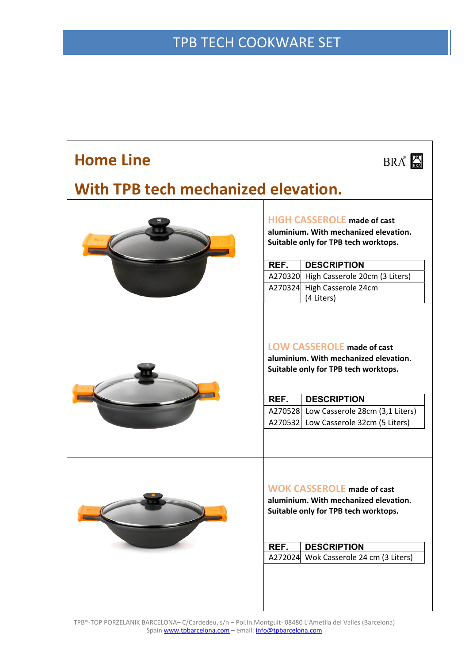| <b>Home Line</b>                    |                                                                                                                                                  | $BRA^{\circ}$                                                                                                                                                                                                                |  |
|-------------------------------------|--------------------------------------------------------------------------------------------------------------------------------------------------|------------------------------------------------------------------------------------------------------------------------------------------------------------------------------------------------------------------------------|--|
| With TPB tech mechanized elevation. |                                                                                                                                                  |                                                                                                                                                                                                                              |  |
|                                     | <b>HIGH CASSEROLE made of cast</b><br>aluminium. With mechanized elevation.<br>Suitable only for TPB tech worktops.                              |                                                                                                                                                                                                                              |  |
|                                     | REF.                                                                                                                                             | <b>DESCRIPTION</b>                                                                                                                                                                                                           |  |
|                                     |                                                                                                                                                  | A270320 High Casserole 20cm (3 Liters)                                                                                                                                                                                       |  |
|                                     |                                                                                                                                                  | A270324 High Casserole 24cm                                                                                                                                                                                                  |  |
|                                     |                                                                                                                                                  | (4 Liters)                                                                                                                                                                                                                   |  |
|                                     | REF.                                                                                                                                             | <b>LOW CASSEROLE made of cast</b><br>aluminium. With mechanized elevation.<br>Suitable only for TPB tech worktops.<br><b>DESCRIPTION</b><br>A270528 Low Casserole 28cm (3,1 Liters)<br>A270532 Low Casserole 32cm (5 Liters) |  |
|                                     | <b>WOK CASSEROLE made of cast</b><br>aluminium. With mechanized elevation.<br>Suitable only for TPB tech worktops.<br>REF.<br><b>DESCRIPTION</b> |                                                                                                                                                                                                                              |  |
|                                     | A272024                                                                                                                                          | Wok Casserole 24 cm (3 Liters)                                                                                                                                                                                               |  |
|                                     |                                                                                                                                                  |                                                                                                                                                                                                                              |  |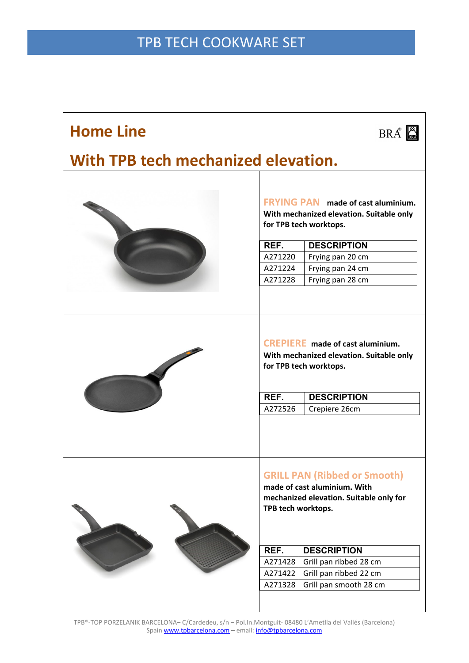#### TPB TECH COOKWARE SET

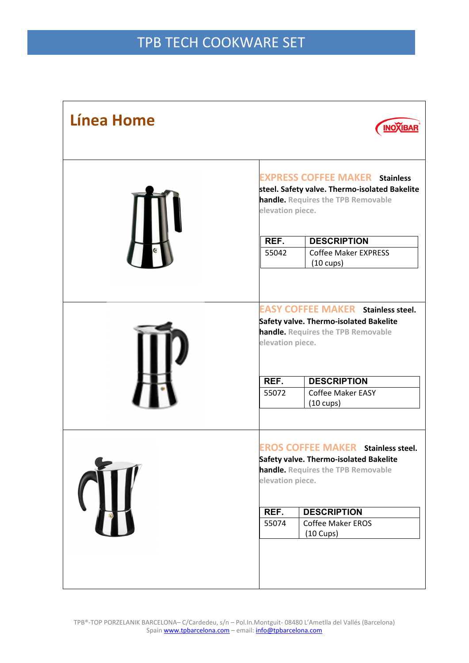| <b>Línea Home</b> | <b>INOXIBAR</b>                                                                                                                                                                                                                                                |  |  |
|-------------------|----------------------------------------------------------------------------------------------------------------------------------------------------------------------------------------------------------------------------------------------------------------|--|--|
|                   | <b>EXPRESS COFFEE MAKER Stainless</b><br>steel. Safety valve. Thermo-isolated Bakelite<br>handle. Requires the TPB Removable<br>elevation piece.<br><b>DESCRIPTION</b><br>REF.<br><b>Coffee Maker EXPRESS</b><br>55042                                         |  |  |
|                   | $(10 \text{ cups})$<br><b>EASY COFFEE MAKER</b> Stainless steel.<br>Safety valve. Thermo-isolated Bakelite<br>handle. Requires the TPB Removable<br>elevation piece.<br>REF.<br><b>DESCRIPTION</b><br><b>Coffee Maker EASY</b><br>55072<br>$(10 \text{ cups})$ |  |  |
|                   | <b>EROS COFFEE MAKER Stainless steel.</b><br>Safety valve. Thermo-isolated Bakelite<br>handle. Requires the TPB Removable<br>elevation piece.<br>REF.<br><b>DESCRIPTION</b><br><b>Coffee Maker EROS</b><br>55074<br>$(10 \text{ Cups})$                        |  |  |